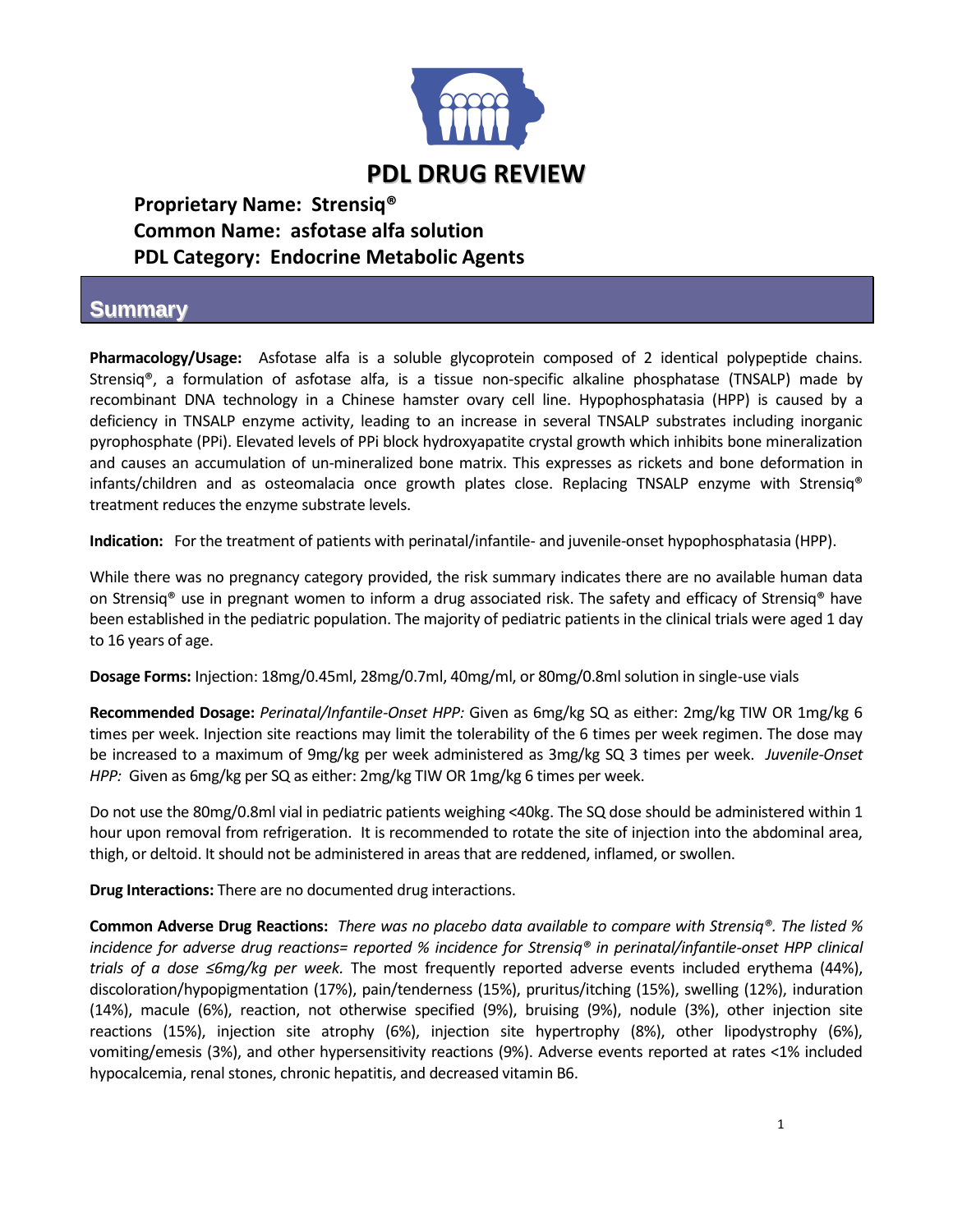

**Proprietary Name: Strensiq® Common Name: asfotase alfa solution PDL Category: Endocrine Metabolic Agents**

## **Summary**

**Pharmacology/Usage:** Asfotase alfa is a soluble glycoprotein composed of 2 identical polypeptide chains. Strensiq®, a formulation of asfotase alfa, is a tissue non-specific alkaline phosphatase (TNSALP) made by recombinant DNA technology in a Chinese hamster ovary cell line. Hypophosphatasia (HPP) is caused by a deficiency in TNSALP enzyme activity, leading to an increase in several TNSALP substrates including inorganic pyrophosphate (PPi). Elevated levels of PPi block hydroxyapatite crystal growth which inhibits bone mineralization and causes an accumulation of un-mineralized bone matrix. This expresses as rickets and bone deformation in infants/children and as osteomalacia once growth plates close. Replacing TNSALP enzyme with Strensiq® treatment reduces the enzyme substrate levels.

**Indication:** For the treatment of patients with perinatal/infantile- and juvenile-onset hypophosphatasia (HPP).

While there was no pregnancy category provided, the risk summary indicates there are no available human data on Strensiq® use in pregnant women to inform a drug associated risk. The safety and efficacy of Strensiq® have been established in the pediatric population. The majority of pediatric patients in the clinical trials were aged 1 day to 16 years of age.

**Dosage Forms:** Injection: 18mg/0.45ml, 28mg/0.7ml, 40mg/ml, or 80mg/0.8ml solution in single-use vials

**Recommended Dosage:** *Perinatal/Infantile-Onset HPP:* Given as 6mg/kg SQ as either: 2mg/kg TIW OR 1mg/kg 6 times per week. Injection site reactions may limit the tolerability of the 6 times per week regimen. The dose may be increased to a maximum of 9mg/kg per week administered as 3mg/kg SQ 3 times per week. *Juvenile-Onset HPP:* Given as 6mg/kg per SQ as either: 2mg/kg TIW OR 1mg/kg 6 times per week.

Do not use the 80mg/0.8ml vial in pediatric patients weighing <40kg. The SQ dose should be administered within 1 hour upon removal from refrigeration. It is recommended to rotate the site of injection into the abdominal area, thigh, or deltoid. It should not be administered in areas that are reddened, inflamed, or swollen.

**Drug Interactions:** There are no documented drug interactions.

**Common Adverse Drug Reactions:** *There was no placebo data available to compare with Strensiq®. The listed % incidence for adverse drug reactions= reported % incidence for Strensiq® in perinatal/infantile-onset HPP clinical trials of a dose ≤6mg/kg per week.* The most frequently reported adverse events included erythema (44%), discoloration/hypopigmentation (17%), pain/tenderness (15%), pruritus/itching (15%), swelling (12%), induration (14%), macule (6%), reaction, not otherwise specified (9%), bruising (9%), nodule (3%), other injection site reactions (15%), injection site atrophy (6%), injection site hypertrophy (8%), other lipodystrophy (6%), vomiting/emesis (3%), and other hypersensitivity reactions (9%). Adverse events reported at rates <1% included hypocalcemia, renal stones, chronic hepatitis, and decreased vitamin B6.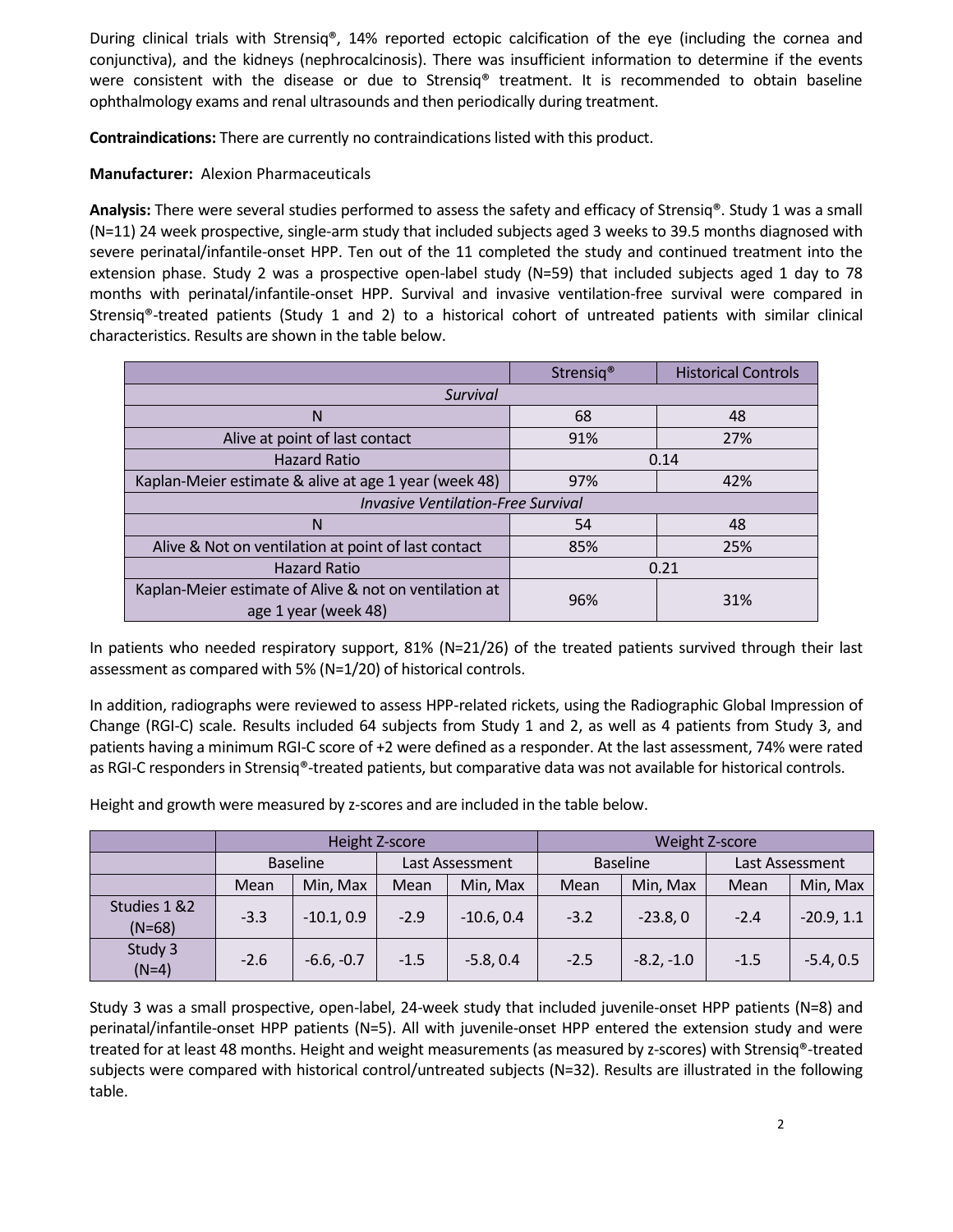During clinical trials with Strensiq®, 14% reported ectopic calcification of the eye (including the cornea and conjunctiva), and the kidneys (nephrocalcinosis). There was insufficient information to determine if the events were consistent with the disease or due to Strensiq® treatment. It is recommended to obtain baseline ophthalmology exams and renal ultrasounds and then periodically during treatment.

**Contraindications:** There are currently no contraindications listed with this product.

**Manufacturer:** Alexion Pharmaceuticals

**Analysis:** There were several studies performed to assess the safety and efficacy of Strensiq®. Study 1 was a small (N=11) 24 week prospective, single-arm study that included subjects aged 3 weeks to 39.5 months diagnosed with severe perinatal/infantile-onset HPP. Ten out of the 11 completed the study and continued treatment into the extension phase. Study 2 was a prospective open-label study (N=59) that included subjects aged 1 day to 78 months with perinatal/infantile-onset HPP. Survival and invasive ventilation-free survival were compared in Strensiq®-treated patients (Study 1 and 2) to a historical cohort of untreated patients with similar clinical characteristics. Results are shown in the table below.

|                                                                                | Strensig <sup>®</sup> | <b>Historical Controls</b> |  |  |  |
|--------------------------------------------------------------------------------|-----------------------|----------------------------|--|--|--|
| Survival                                                                       |                       |                            |  |  |  |
| N                                                                              | 68<br>48              |                            |  |  |  |
| Alive at point of last contact                                                 | 91%                   | 27%                        |  |  |  |
| <b>Hazard Ratio</b>                                                            | 0.14                  |                            |  |  |  |
| Kaplan-Meier estimate & alive at age 1 year (week 48)                          | 97%                   | 42%                        |  |  |  |
| <b>Invasive Ventilation-Free Survival</b>                                      |                       |                            |  |  |  |
| N                                                                              | 54<br>48              |                            |  |  |  |
| Alive & Not on ventilation at point of last contact                            | 25%<br>85%            |                            |  |  |  |
| <b>Hazard Ratio</b>                                                            | 0.21                  |                            |  |  |  |
| Kaplan-Meier estimate of Alive & not on ventilation at<br>age 1 year (week 48) | 31%                   |                            |  |  |  |

In patients who needed respiratory support, 81% (N=21/26) of the treated patients survived through their last assessment as compared with 5% (N=1/20) of historical controls.

In addition, radiographs were reviewed to assess HPP-related rickets, using the Radiographic Global Impression of Change (RGI-C) scale. Results included 64 subjects from Study 1 and 2, as well as 4 patients from Study 3, and patients having a minimum RGI-C score of +2 were defined as a responder. At the last assessment, 74% were rated as RGI-C responders in Strensiq®-treated patients, but comparative data was not available for historical controls.

Height and growth were measured by z-scores and are included in the table below.

|                           | Height Z-score  |              |                 |              | Weight Z-score  |              |                 |              |
|---------------------------|-----------------|--------------|-----------------|--------------|-----------------|--------------|-----------------|--------------|
|                           | <b>Baseline</b> |              | Last Assessment |              | <b>Baseline</b> |              | Last Assessment |              |
|                           | Mean            | Min, Max     | Mean            | Min, Max     | Mean            | Min, Max     | Mean            | Min, Max     |
| Studies 1 & 2<br>$(N=68)$ | $-3.3$          | $-10.1, 0.9$ | $-2.9$          | $-10.6, 0.4$ | $-3.2$          | $-23.8,0$    | $-2.4$          | $-20.9, 1.1$ |
| Study 3<br>$(N=4)$        | $-2.6$          | $-6.6, -0.7$ | $-1.5$          | $-5.8, 0.4$  | $-2.5$          | $-8.2, -1.0$ | $-1.5$          | $-5.4, 0.5$  |

Study 3 was a small prospective, open-label, 24-week study that included juvenile-onset HPP patients (N=8) and perinatal/infantile-onset HPP patients (N=5). All with juvenile-onset HPP entered the extension study and were treated for at least 48 months. Height and weight measurements (as measured by z-scores) with Strensiq®-treated subjects were compared with historical control/untreated subjects (N=32). Results are illustrated in the following table.